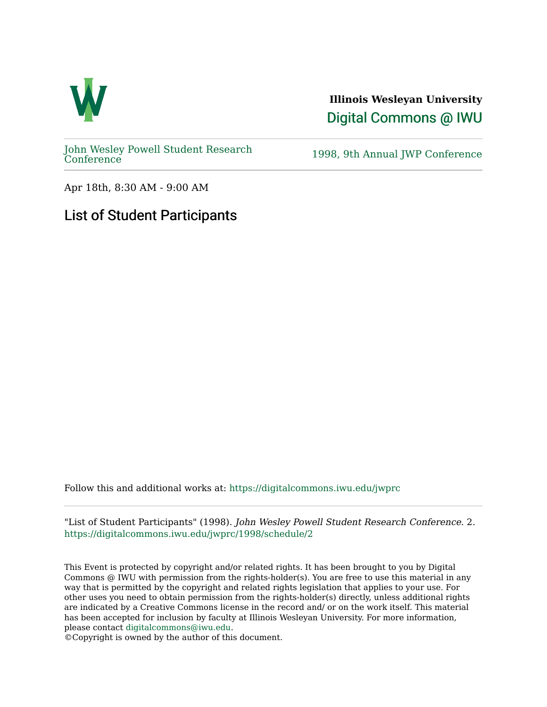

**Illinois Wesleyan University**  [Digital Commons @ IWU](https://digitalcommons.iwu.edu/) 

[John Wesley Powell Student Research](https://digitalcommons.iwu.edu/jwprc) 

1998, 9th Annual JWP [Conference](https://digitalcommons.iwu.edu/jwprc)

Apr 18th, 8:30 AM - 9:00 AM

## List of Student Participants

Follow this and additional works at: [https://digitalcommons.iwu.edu/jwprc](https://digitalcommons.iwu.edu/jwprc?utm_source=digitalcommons.iwu.edu%2Fjwprc%2F1998%2Fschedule%2F2&utm_medium=PDF&utm_campaign=PDFCoverPages) 

"List of Student Participants" (1998). John Wesley Powell Student Research Conference. 2. [https://digitalcommons.iwu.edu/jwprc/1998/schedule/2](https://digitalcommons.iwu.edu/jwprc/1998/schedule/2?utm_source=digitalcommons.iwu.edu%2Fjwprc%2F1998%2Fschedule%2F2&utm_medium=PDF&utm_campaign=PDFCoverPages) 

This Event is protected by copyright and/or related rights. It has been brought to you by Digital Commons @ IWU with permission from the rights-holder(s). You are free to use this material in any way that is permitted by the copyright and related rights legislation that applies to your use. For other uses you need to obtain permission from the rights-holder(s) directly, unless additional rights are indicated by a Creative Commons license in the record and/ or on the work itself. This material has been accepted for inclusion by faculty at Illinois Wesleyan University. For more information, please contact [digitalcommons@iwu.edu.](mailto:digitalcommons@iwu.edu)

©Copyright is owned by the author of this document.